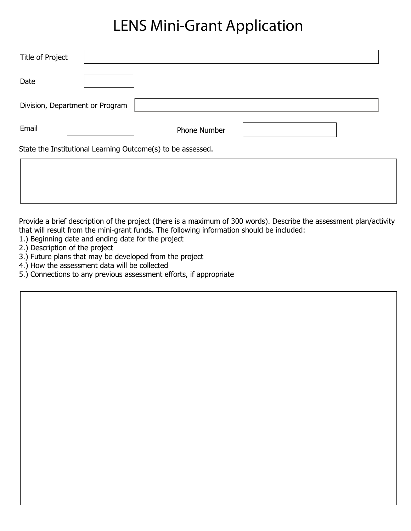## LENS Mini-Grant Application

| Title of Project                                            |  |                     |  |  |  |  |  |
|-------------------------------------------------------------|--|---------------------|--|--|--|--|--|
| Date                                                        |  |                     |  |  |  |  |  |
| Division, Department or Program                             |  |                     |  |  |  |  |  |
| Email                                                       |  | <b>Phone Number</b> |  |  |  |  |  |
| State the Institutional Learning Outcome(s) to be assessed. |  |                     |  |  |  |  |  |
|                                                             |  |                     |  |  |  |  |  |
|                                                             |  |                     |  |  |  |  |  |

Provide a brief description of the project (there is a maximum of 300 words). Describe the assessment plan/activity that will result from the mini-grant funds. The following information should be included:

- 1.) Beginning date and ending date for the project
- 2.) Description of the project
- 3.) Future plans that may be developed from the project
- 4.) How the assessment data will be collected
- 5.) Connections to any previous assessment efforts, if appropriate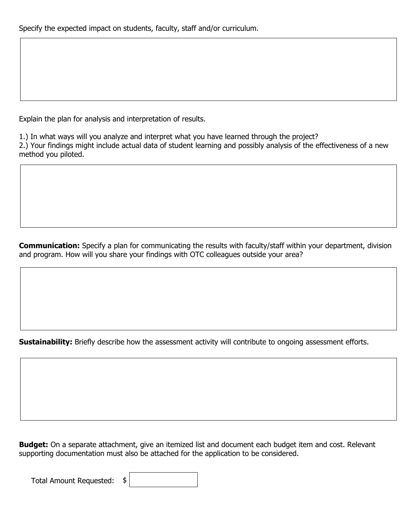Explain the plan for analysis and interpretation of results.

1.) In what ways will you analyze and interpret what you have learned through the project? 2.) Your findings might include actual data of student learning and possibly analysis of the effectiveness of a new method you piloted.

**Communication:** Specify a plan for communicating the results with faculty/staff within your department, division and program. How will you share your findings with OTC colleagues outside your area?

**Sustainability:** Briefly describe how the assessment activity will contribute to ongoing assessment efforts.

**Budget:** On a separate attachment, give an itemized list and document each budget item and cost. Relevant supporting documentation must also be attached for the application to be considered.

Total Amount Requested: \$